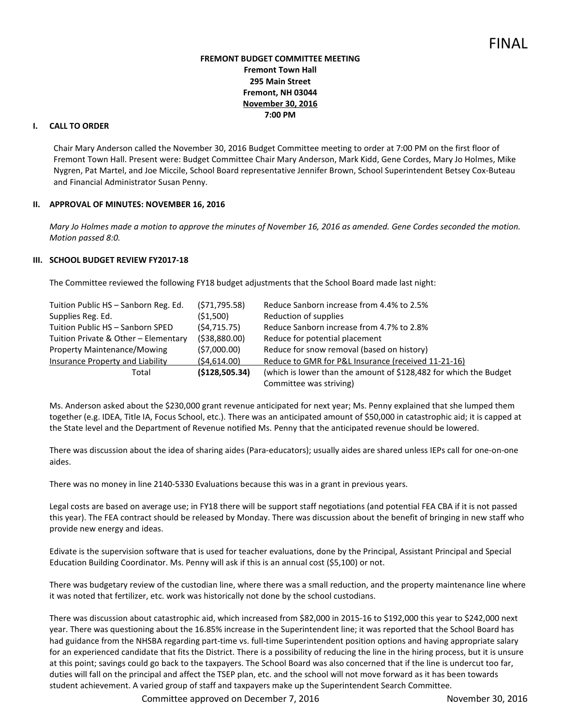## **FREMONT BUDGET COMMITTEE MEETING Fremont Town Hall 295 Main Street Fremont, NH 03044 November 30, 2016 7:00 PM**

# **I. CALL TO ORDER**

Chair Mary Anderson called the November 30, 2016 Budget Committee meeting to order at 7:00 PM on the first floor of Fremont Town Hall. Present were: Budget Committee Chair Mary Anderson, Mark Kidd, Gene Cordes, Mary Jo Holmes, Mike Nygren, Pat Martel, and Joe Miccile, School Board representative Jennifer Brown, School Superintendent Betsey Cox-Buteau and Financial Administrator Susan Penny.

### **II. APPROVAL OF MINUTES: NOVEMBER 16, 2016**

*Mary Jo Holmes made a motion to approve the minutes of November 16, 2016 as amended. Gene Cordes seconded the motion. Motion passed 8:0.* 

#### **III. SCHOOL BUDGET REVIEW FY2017-18**

The Committee reviewed the following FY18 budget adjustments that the School Board made last night:

| Tuition Public HS - Sanborn Reg. Ed. | (571, 795.58)   | Reduce Sanborn increase from 4.4% to 2.5%                         |
|--------------------------------------|-----------------|-------------------------------------------------------------------|
| Supplies Reg. Ed.                    | (51,500)        | Reduction of supplies                                             |
| Tuition Public HS - Sanborn SPED     | (54, 715.75)    | Reduce Sanborn increase from 4.7% to 2.8%                         |
| Tuition Private & Other - Elementary | (538,880.00)    | Reduce for potential placement                                    |
| Property Maintenance/Mowing          | (57,000.00)     | Reduce for snow removal (based on history)                        |
| Insurance Property and Liability     | (54,614.00)     | Reduce to GMR for P&L Insurance (received 11-21-16)               |
| Total                                | ( \$128,505.34) | (which is lower than the amount of \$128,482 for which the Budget |
|                                      |                 | Committee was striving)                                           |

Ms. Anderson asked about the \$230,000 grant revenue anticipated for next year; Ms. Penny explained that she lumped them together (e.g. IDEA, Title IA, Focus School, etc.). There was an anticipated amount of \$50,000 in catastrophic aid; it is capped at the State level and the Department of Revenue notified Ms. Penny that the anticipated revenue should be lowered.

There was discussion about the idea of sharing aides (Para-educators); usually aides are shared unless IEPs call for one-on-one aides.

There was no money in line 2140-5330 Evaluations because this was in a grant in previous years.

Legal costs are based on average use; in FY18 there will be support staff negotiations (and potential FEA CBA if it is not passed this year). The FEA contract should be released by Monday. There was discussion about the benefit of bringing in new staff who provide new energy and ideas.

Edivate is the supervision software that is used for teacher evaluations, done by the Principal, Assistant Principal and Special Education Building Coordinator. Ms. Penny will ask if this is an annual cost (\$5,100) or not.

There was budgetary review of the custodian line, where there was a small reduction, and the property maintenance line where it was noted that fertilizer, etc. work was historically not done by the school custodians.

There was discussion about catastrophic aid, which increased from \$82,000 in 2015-16 to \$192,000 this year to \$242,000 next year. There was questioning about the 16.85% increase in the Superintendent line; it was reported that the School Board has had guidance from the NHSBA regarding part-time vs. full-time Superintendent position options and having appropriate salary for an experienced candidate that fits the District. There is a possibility of reducing the line in the hiring process, but it is unsure at this point; savings could go back to the taxpayers. The School Board was also concerned that if the line is undercut too far, duties will fall on the principal and affect the TSEP plan, etc. and the school will not move forward as it has been towards student achievement. A varied group of staff and taxpayers make up the Superintendent Search Committee.